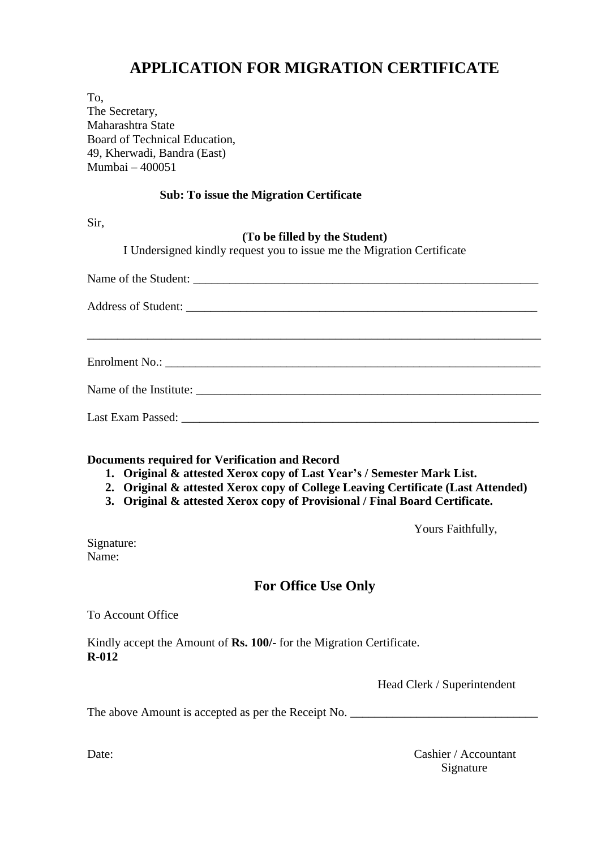## **APPLICATION FOR MIGRATION CERTIFICATE**

To,

The Secretary, Maharashtra State Board of Technical Education, 49, Kherwadi, Bandra (East) Mumbai – 400051

### **Sub: To issue the Migration Certificate**

Sir,

#### **(To be filled by the Student)**

I Undersigned kindly request you to issue me the Migration Certificate

**Documents required for Verification and Record**

- **1. Original & attested Xerox copy of Last Year's / Semester Mark List.**
- **2. Original & attested Xerox copy of College Leaving Certificate (Last Attended)**
- **3. Original & attested Xerox copy of Provisional / Final Board Certificate.**

Yours Faithfully,

Signature: Name:

## **For Office Use Only**

To Account Office

Kindly accept the Amount of **Rs. 100/-** for the Migration Certificate. **R-012**

Head Clerk / Superintendent

The above Amount is accepted as per the Receipt No.

Date: Cashier / Accountant Signature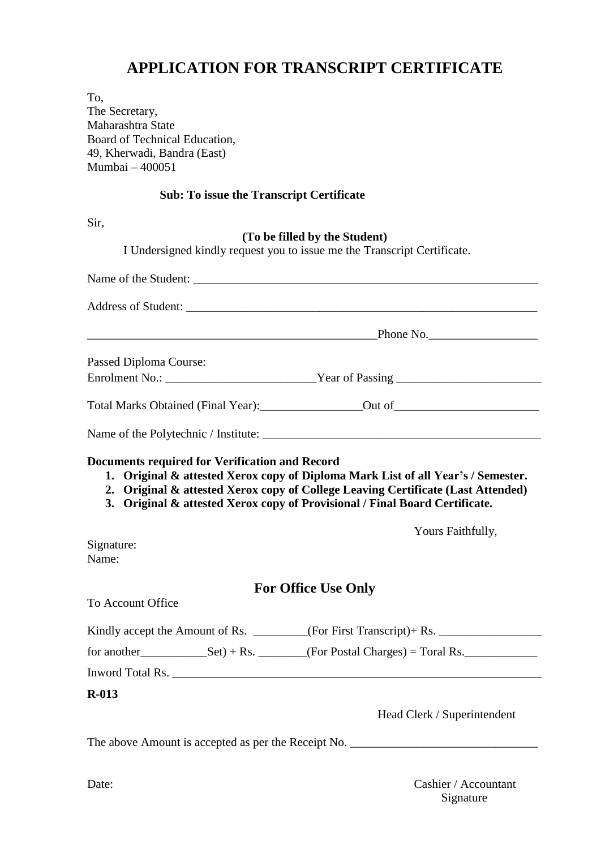## **APPLICATION FOR TRANSCRIPT CERTIFICATE**

To,

The Secretary, Maharashtra State Board of Technical Education, 49, Kherwadi, Bandra (East) Mumbai – 400051

### **Sub: To issue the Transcript Certificate**

Sir,

#### **(To be filled by the Student)**

I Undersigned kindly request you to issue me the Transcript Certificate.

|                        |                                                       | Address of Student: University of Students and Students and Students and Students and Students and Students and Students and Students and Students and Students and Students and Students and Students and Students and Studen                                           |
|------------------------|-------------------------------------------------------|--------------------------------------------------------------------------------------------------------------------------------------------------------------------------------------------------------------------------------------------------------------------------|
|                        |                                                       |                                                                                                                                                                                                                                                                          |
| Passed Diploma Course: |                                                       |                                                                                                                                                                                                                                                                          |
|                        |                                                       |                                                                                                                                                                                                                                                                          |
|                        |                                                       | Total Marks Obtained (Final Year): Carrier Count of Communication of Countries Counter Countries Counter Counter Counter Counter Counter Counter Counter Counter Counter Counter Counter Counter Counter Counter Counter Count                                           |
|                        |                                                       |                                                                                                                                                                                                                                                                          |
| Signature:             | <b>Documents required for Verification and Record</b> | 1. Original & attested Xerox copy of Diploma Mark List of all Year's / Semester.<br>2. Original & attested Xerox copy of College Leaving Certificate (Last Attended)<br>3. Original & attested Xerox copy of Provisional / Final Board Certificate.<br>Yours Faithfully, |
| Name:                  |                                                       |                                                                                                                                                                                                                                                                          |
| To Account Office      |                                                       | <b>For Office Use Only</b>                                                                                                                                                                                                                                               |
|                        |                                                       | Kindly accept the Amount of Rs. _______(For First Transcript)+ Rs. _____________                                                                                                                                                                                         |
|                        |                                                       |                                                                                                                                                                                                                                                                          |
|                        |                                                       |                                                                                                                                                                                                                                                                          |
| $R-013$                |                                                       |                                                                                                                                                                                                                                                                          |
|                        |                                                       | Head Clerk / Superintendent                                                                                                                                                                                                                                              |
|                        |                                                       |                                                                                                                                                                                                                                                                          |